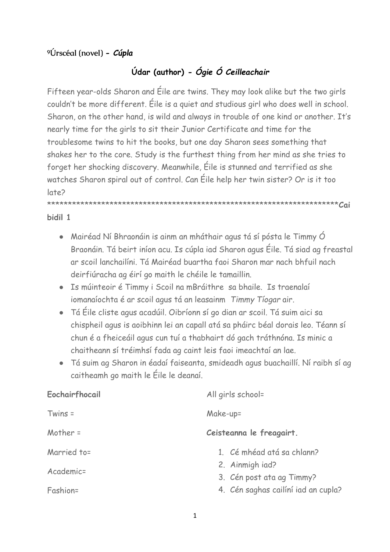## **⁹Úrscéal (novel)** *- Cúpla*

## **Údar (author)** *- Ógie Ó Ceilleachair*

Fifteen year-olds Sharon and Éile are twins. They may look alike but the two girls couldn't be more different. Éile is a quiet and studious girl who does well in school. Sharon, on the other hand, is wild and always in trouble of one kind or another. It's nearly time for the girls to sit their Junior Certificate and time for the troublesome twins to hit the books, but one day Sharon sees something that shakes her to the core. Study is the furthest thing from her mind as she tries to forget her shocking discovery. Meanwhile, Éile is stunned and terrified as she watches Sharon spiral out of control. Can Éile help her twin sister? Or is it too late?

\*\*\*\*\*\*\*\*\*\*\*\*\*\*\*\*\*\*\*\*\*\*\*\*\*\*\*\*\*\*\*\*\*\*\*\*\*\*\*\*\*\*\*\*\*\*\*\*\*\*\*\*\*\*\*\*\*\*\*\*\*\*\*\*\*\*\*\*\*\***Cai**

## **bidil 1**

- Mairéad Ní Bhraonáin is ainm an mháthair agus tá sí pósta le Timmy Ó Braonáin. Tá beirt iníon acu. Is cúpla iad Sharon agus Éile. Tá siad ag freastal ar scoil lanchailíni. Tá Mairéad buartha faoi Sharon mar nach bhfuil nach deirfiúracha ag éirí go maith le chéile le tamaillin.
- Is múinteoir é Timmy i Scoil na mBráithre sa bhaile. Is traenalaí iomanaíochta é ar scoil agus tá an leasainm *Timmy Tíogar* air.
- Tá Éile cliste agus acadúil. Oibríonn sí go dian ar scoil. Tá suim aici sa chispheil agus is aoibhinn lei an capall atá sa pháirc béal dorais leo. Téann sí chun é a fheiceáil agus cun tuí a thabhairt dó gach tráthnóna. Is minic a chaitheann sí tréimhsí fada ag caint leis faoi imeachtaí an lae.
- Tá suim ag Sharon in éadaí faiseanta, smideadh agus buachaillí. Ní raibh sí ag caitheamh go maith le Éile le deanaí.

| Eochairfhocail | All girls school=                            |
|----------------|----------------------------------------------|
| $Twins =$      | Make-up=                                     |
| Mother $=$     | Ceisteanna le freagairt.                     |
| Married to=    | 1. Cé mhéad atá sa chlann?                   |
| Academic=      | 2. Ainmigh iad?<br>3. Cén post ata ag Timmy? |
| Fashion=       | 4. Cén saghas cailíní iad an cupla?          |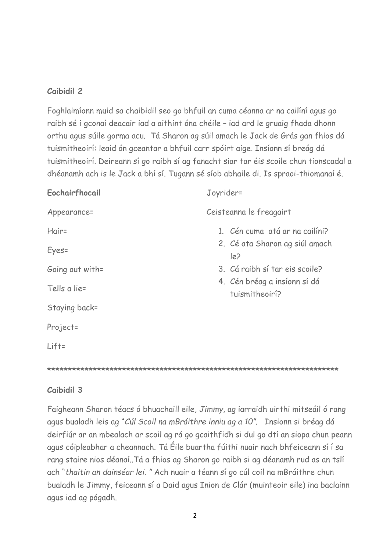## **Caibidil 2**

Foghlaimíonn muid sa chaibidil seo go bhfuil an cuma céanna ar na cailíní agus go raibh sé i gconaí deacair iad a aithint óna chéile – iad ard le gruaig fhada dhonn orthu agus súile gorma acu. Tá Sharon ag súil amach le Jack de Grás gan fhios dá tuismitheoirí: leaid ón gceantar a bhfuil carr spóirt aige. Insíonn sí breág dá tuismitheoirí. Deireann sí go raibh sí ag fanacht siar tar éis scoile chun tionscadal a dhéanamh ach is le Jack a bhí sí. Tugann sé síob abhaile di. Is spraoi-thiomanaí é.

| Eochairfhocail  | Joyrider=                                      |
|-----------------|------------------------------------------------|
| Appearance=     | Ceisteanna le freagairt                        |
| Hair=           | 1. Cén cuma atá ar na cailíni?                 |
| Eyes=           | 2. Cé ata Sharon ag siúl amach<br>$ e\rangle$  |
| Going out with= | 3. Cá raibh sí tar eis scoile?                 |
| Tells a lie=    | 4. Cén bréag a insíonn sí dá<br>tuismitheoirí? |
| Staying back=   |                                                |
| Project=        |                                                |
| $Lift =$        |                                                |
|                 |                                                |

**\*\*\*\*\*\*\*\*\*\*\*\*\*\*\*\*\*\*\*\*\*\*\*\*\*\*\*\*\*\*\*\*\*\*\*\*\*\*\*\*\*\*\*\*\*\*\*\*\*\*\*\*\*\*\*\*\*\*\*\*\*\*\*\*\*\*\*\*\*\***

## **Caibidil 3**

Faigheann Sharon téacs ó bhuachaill eile, *Jimmy,* ag iarraidh uirthi mitseáil ó rang agus bualadh leis ag "*Cúl Scoil na mBráithre inniu ag a 10".* Insionn si bréag dá deirfiúr ar an mbealach ar scoil ag rá go gcaithfidh si dul go dtí an siopa chun peann agus cóipleabhar a cheannach. Tá Éile buartha fúithi nuair nach bhfeiceann sí í sa rang staire nios déanaí..Tá a fhios ag Sharon go raibh si ag déanamh rud as an tslí ach "*thaitin an dainséar lei. "* Ach nuair a téann sí go cúl coil na mBráithre chun bualadh le Jimmy, feiceann sí a Daid agus Inion de Clár (muinteoir eile) ina baclainn agus iad ag pógadh.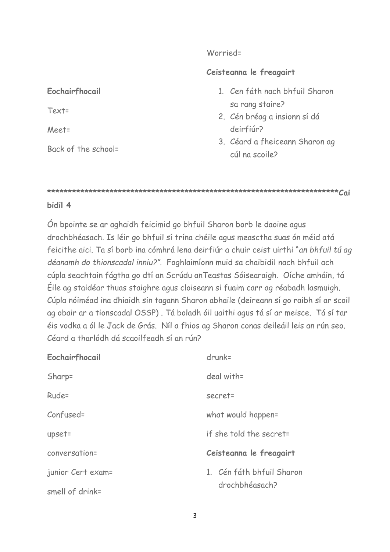#### Worried=

## **Ceisteanna le freagairt**

| 1. Cen fáth nach bhfuil Sharon |  |
|--------------------------------|--|
| sa rang staire?                |  |

- 2. Cén bréag a insionn sí dá deirfiúr?
- 3. Céard a fheiceann Sharon ag cúl na scoile?

#### **\*\*\*\*\*\*\*\*\*\*\*\*\*\*\*\*\*\*\*\*\*\*\*\*\*\*\*\*\*\*\*\*\*\*\*\*\*\*\*\*\*\*\*\*\*\*\*\*\*\*\*\*\*\*\*\*\*\*\*\*\*\*\*\*\*\*\*\*\*\*Cai**

#### **bidil 4**

**Eochairfhocail**

Back of the school=

Text=

Meet=

Ón bpointe se ar aghaidh feicimid go bhfuil Sharon borb le daoine agus drochbhéasach. Is léir go bhfuil sí trína chéile agus measctha suas ón méid atá feicithe aici. Ta sí borb ina cómhrá lena deirfiúr a chuir ceist uirthi "*an bhfuil tú ag déanamh do thionscadal inniu?".* Foghlaimíonn muid sa chaibidil nach bhfuil ach cúpla seachtain fágtha go dtí an Scrúdu anTeastas Sóisearaigh. Oíche amháin, tá Éile ag staidéar thuas staighre agus cloiseann si fuaim carr ag réabadh lasmuigh. Cúpla nóiméad ina dhiaidh sin tagann Sharon abhaile (deireann sí go raibh sí ar scoil ag obair ar a tionscadal OSSP) . Tá boladh óil uaithi agus tá sí ar meisce. Tá sí tar éis vodka a ól le Jack de Grás. Níl a fhios ag Sharon conas deileáil leis an rún seo. Céard a tharlódh dá scaoilfeadh sí an rún?

| Eochairfhocail    | $drunk =$                 |
|-------------------|---------------------------|
| Sharp=            | deal with=                |
| Rude=             | secret=                   |
| Confused=         | what would happen=        |
| upset=            | if she told the secret=   |
| conversation=     | Ceisteanna le freagairt   |
| junior Cert exam= | 1. Cén fáth bhfuil Sharon |
| smell of drink=   | drochbhéasach?            |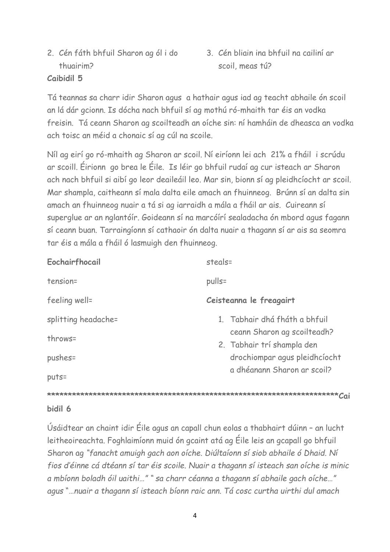- 2. Cén fáth bhfuil Sharon ag ól i do thuairim?
- 3. Cén bliain ina bhfuil na cailiní ar scoil, meas tú?

## **Caibidil 5**

Tá teannas sa charr idir Sharon agus a hathair agus iad ag teacht abhaile ón scoil an lá dár gcionn. Is dócha nach bhfuil sí ag mothú ró-mhaith tar éis an vodka freisin. Tá ceann Sharon ag scoilteadh an oíche sin: ní hamháin de dheasca an vodka ach toisc an méid a chonaic sí ag cúl na scoile.

Níl ag eirí go ró-mhaith ag Sharon ar scoil. Ní eiríonn lei ach 21% a fháil i scrúdu ar scoill. Éirionn go brea le Éile. Is léir go bhfuil rudaí ag cur isteach ar Sharon ach nach bhfuil si aibí go leor deaileáil leo. Mar sin, bionn sí ag pleidhcíocht ar scoil. Mar shampla, caitheann sí mala dalta eile amach an fhuinneog. Brúnn sí an dalta sin amach an fhuinneog nuair a tá si ag iarraidh a mála a fháil ar ais. Cuireann sí superglue ar an nglantóír. Goideann sí na marcóírí sealadacha ón mbord agus fagann sí ceann buan. Tarraingíonn sí cathaoir ón dalta nuair a thagann sí ar ais sa seomra tar éis a mála a fháil ó lasmuigh den fhuinneog.

| Eochairfhocail                 | steals=                                                                                    |  |
|--------------------------------|--------------------------------------------------------------------------------------------|--|
| tension=                       | pulls=                                                                                     |  |
| feeling well=                  | Ceisteanna le freagairt                                                                    |  |
| splitting headache=<br>throws= | 1. Tabhair dhá fháth a bhfuil<br>ceann Sharon ag scoilteadh?<br>2. Tabhair trí shampla den |  |
| pushes=<br>$puts =$            | drochiompar agus pleidhcíocht<br>a dhéanann Sharon ar scoil?                               |  |
|                                |                                                                                            |  |

#### **bidil 6**

Úsáidtear an chaint idir Éile agus an capall chun eolas a thabhairt dúinn – an lucht leitheoireachta. Foghlaimíonn muid ón gcaint atá ag Éile leis an gcapall go bhfuil Sharon ag *"fanacht amuigh gach aon oíche. Diúltaíonn sí siob abhaile ó Dhaid. Ní fios d'éinne cá dtéann sí tar éis scoile. Nuair a thagann sí isteach san oíche is minic a mbíonn boladh óil uaithi…" " sa charr céanna a thagann sí abhaile gach oíche…" agus* "…*nuair a thagann sí isteach bíonn raic ann. Tá cosc curtha uirthi dul amach*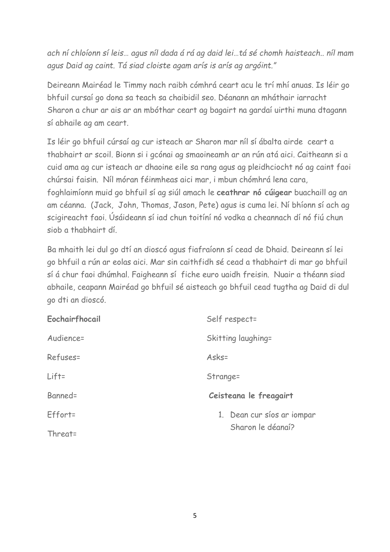*ach ní chloíonn sí leis… agus níl dada á rá ag daid lei…tá sé chomh haisteach.. níl mam agus Daid ag caint. Tá siad cloiste agam arís is arís ag argóint."*

Deireann Mairéad le Timmy nach raibh cómhrá ceart acu le trí mhí anuas. Is léir go bhfuil cursaí go dona sa teach sa chaibidil seo. Déanann an mháthair iarracht Sharon a chur ar ais ar an mbóthar ceart ag bagairt na gardaí uirthi muna dtagann sí abhaile ag am ceart.

Is léir go bhfuil cúrsaí ag cur isteach ar Sharon mar níl sí ábalta airde ceart a thabhairt ar scoil. Bionn si i gcónai ag smaoineamh ar an rún atá aici. Caitheann si a cuid ama ag cur isteach ar dhaoine eile sa rang agus ag pleidhciocht nó ag caint faoi chúrsai faisin. Níl móran féinmheas aici mar, i mbun chómhrá lena cara, foghlaimíonn muid go bhfuil sí ag siúl amach le **ceathrar nó cúigear** buachaill ag an am céanna. (Jack, John, Thomas, Jason, Pete) agus is cuma lei. Ní bhíonn sí ach ag scigireacht faoi. Úsáideann sí iad chun toitíní nó vodka a cheannach dí nó fiú chun siob a thabhairt dí.

Ba mhaith lei dul go dtí an dioscó agus fiafraíonn sí cead de Dhaid. Deireann sí lei go bhfuil a rún ar eolas aici. Mar sin caithfidh sé cead a thabhairt di mar go bhfuil sí á chur faoi dhúmhal. Faigheann sí fiche euro uaidh freisin. Nuair a théann siad abhaile, ceapann Mairéad go bhfuil sé aisteach go bhfuil cead tugtha ag Daid di dul go dti an dioscó.

| Eochairfhocail | Self respect=              |
|----------------|----------------------------|
| Audience=      | Skitting laughing=         |
| Refuses=       | Asks=                      |
| $Lift =$       | Strange=                   |
| Banned=        | Ceisteana le freagairt     |
| Effort=        | 1. Dean cur síos ar iompar |
| Threat=        | Sharon le déanaí?          |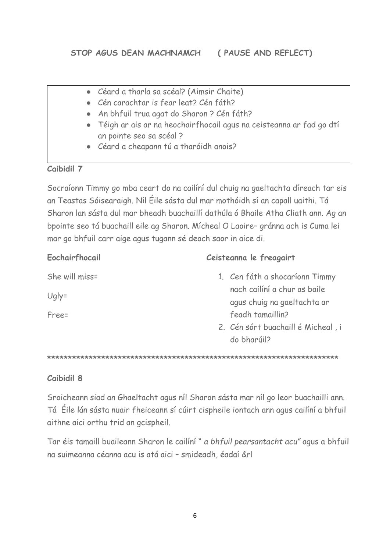- Céard a tharla sa scéal? (Aimsir Chaite)
- Cén carachtar is fear leat? Cén fáth?
- An bhfuil trua agat do Sharon ? Cén fáth?
- Téigh ar ais ar na heochairfhocail agus na ceisteanna ar fad go dtí an pointe seo sa scéal ?
- Céard a cheapann tú a tharóidh anois?

## **Caibidil 7**

Socraíonn Timmy go mba ceart do na cailíní dul chuig na gaeltachta díreach tar eis an Teastas Sóisearaigh. Níl Éile sásta dul mar mothóidh sí an capall uaithi. Tá Sharon lan sásta dul mar bheadh buachaillí dathúla ó Bhaile Atha Cliath ann. Ag an bpointe seo tá buachaill eile ag Sharon. Mícheal O Laoire– gránna ach is Cuma lei mar go bhfuil carr aige agus tugann sé deoch saor in aice di.

| Eochairfhocail | Ceisteanna le freagairt                                     |
|----------------|-------------------------------------------------------------|
| She will miss= | 1. Cen fáth a shocaríonn Timmy                              |
| $Uq y=$        | nach cailíní a chur as baile<br>agus chuig na gaeltachta ar |
| Free=          | feadh tamaillin?                                            |
|                | 2. Cén sórt buachaill é Micheal, i<br>do bharúil?           |

**\*\*\*\*\*\*\*\*\*\*\*\*\*\*\*\*\*\*\*\*\*\*\*\*\*\*\*\*\*\*\*\*\*\*\*\*\*\*\*\*\*\*\*\*\*\*\*\*\*\*\*\*\*\*\*\*\*\*\*\*\*\*\*\*\*\*\*\*\*\***

## **Caibidil 8**

Sroicheann siad an Ghaeltacht agus níl Sharon sásta mar níl go leor buachailli ann. Tá Éile lán sásta nuair fheiceann sí cúirt cispheile iontach ann agus cailíní a bhfuil aithne aici orthu trid an gcispheil.

Tar éis tamaill buaileann Sharon le cailíní " *a bhfuil pearsantacht acu"* agus a bhfuil na suimeanna céanna acu is atá aici – smideadh, éadaí &rl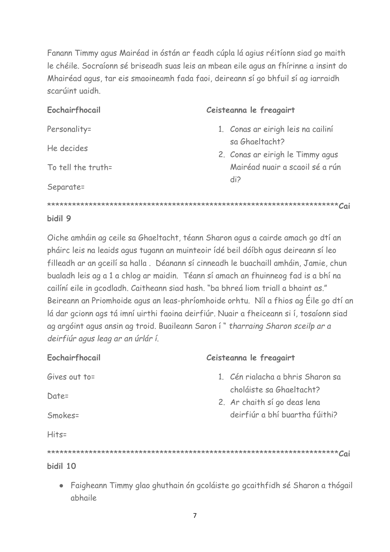Fanann Timmy agus Mairéad in óstán ar feadh cúpla lá agius réitíonn siad go maith le chéile. Socraíonn sé briseadh suas leis an mbean eile agus an fhírinne a insint do Mhairéad agus, tar eis smaoineamh fada faoi, deireann sí go bhfuil sí ag iarraidh scarúint uaidh.

| Eochairfhocail     | Ceisteanna le freagairt            |
|--------------------|------------------------------------|
| Personality=       | 1. Conas ar eirigh leis na cailiní |
| He decides         | sa Ghaeltacht?                     |
|                    | 2. Conas ar eirigh le Timmy agus   |
| To tell the truth= | Mairéad nuair a scaoil sé a rún    |
| Separate=          | di?                                |
|                    |                                    |
| bidil 9            |                                    |

Oiche amháin ag ceile sa Ghaeltacht, téann Sharon agus a cairde amach go dtí an pháirc leis na leaids agus tugann an muinteoir ídé beil dóíbh agus deireann sí leo filleadh ar an gceilí sa halla . Déanann sí cinneadh le buachaill amháin, Jamie, chun bualadh leis ag a 1 a chlog ar maidin. Téann sí amach an fhuinneog fad is a bhí na cailíní eile in gcodladh. Caitheann siad hash. "ba bhreá liom triall a bhaint as." Beireann an Priomhoide agus an leas-phríomhoide orhtu. Níl a fhios ag Éile go dtí an lá dar gcionn ags tá imní uirthi faoina deirfiúr. Nuair a fheiceann si í, tosaíonn siad ag argóint agus ansin ag troid. Buaileann Saron í " *tharraing Sharon sceilp ar a deirfiúr agus leag ar an úrlár í*.

| Eochairfhocail         | Ceisteanna le freagairt                                        |
|------------------------|----------------------------------------------------------------|
| Gives out to=<br>Date= | 1. Cén rialacha a bhris Sharon sa<br>choláiste sa Ghaeltacht?  |
| Smokes=                | 2. Ar chaith sí go deas lena<br>deirfiúr a bhí buartha fúithi? |
| $Hits =$               |                                                                |
| bidil 10               |                                                                |

● Faigheann Timmy glao ghuthain ón gcoláiste go gcaithfidh sé Sharon a thógail abhaile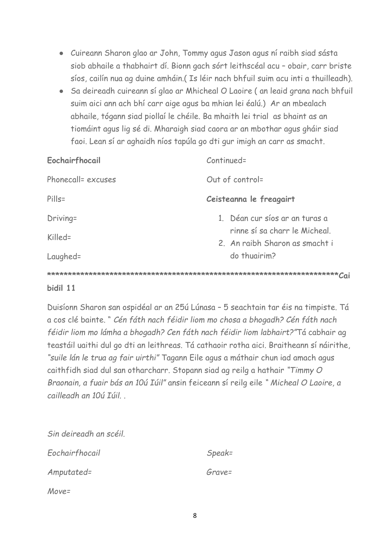- Cuireann Sharon glao ar John, Tommy agus Jason agus ní raibh siad sásta siob abhaile a thabhairt dí. Bionn gach sórt leithscéal acu – obair, carr briste síos, cailín nua ag duine amháin.( Is léir nach bhfuil suim acu inti a thuilleadh).
- Sa deireadh cuireann sí glao ar Mhicheal O Laoire ( an leaid grana nach bhfuil suim aici ann ach bhí carr aige agus ba mhian lei éalú.) Ar an mbealach abhaile, tógann siad piollaí le chéile. Ba mhaith lei trial as bhaint as an tiomáint agus lig sé di. Mharaigh siad caora ar an mbothar agus gháir siad faoi. Lean sí ar aghaidh níos tapúla go dti gur imigh an carr as smacht.

| Eochairfhocail     | $Controller =$                                                  |  |
|--------------------|-----------------------------------------------------------------|--|
| Phonecall= excuses | Out of control=                                                 |  |
| $P$ ills=          | Ceisteanna le freagairt                                         |  |
| Driving=           | 1. Déan cur síos ar an turas a<br>rinne sí sa charr le Micheal. |  |
| Killed=            | 2. An raibh Sharon as smacht i                                  |  |
| Laughed=           | do thuairim?                                                    |  |
| Cai                |                                                                 |  |

## **bidil 11**

Duisíonn Sharon san ospidéal ar an 25ú Lúnasa – 5 seachtain tar éis na timpiste. Tá a cos clé bainte. " *Cén fáth nach féidir liom mo chosa a bhogadh? Cén fáth nach féidir liom mo lámha a bhogadh? Cen fáth nach féidir liom labhairt?"*Tá cabhair ag teastáil uaithi dul go dti an leithreas. Tá cathaoir rotha aici. Braitheann sí náirithe, *"suile lán le trua ag fair uirthi"* Tagann Eile agus a máthair chun iad amach agus caithfidh siad dul san otharcharr. Stopann siad ag reilg a hathair *"Timmy O Braonain, a fuair bás an 10ú Iúil"* ansin feiceann sí reilg eile *" Micheal O Laoire, a cailleadh an 10ú Iúil. .* 

| Sin deireadh an scéil. |           |
|------------------------|-----------|
| Eochairfhocail         | $Speak =$ |
| Amputated=             | Grave=    |
| $Move =$               |           |